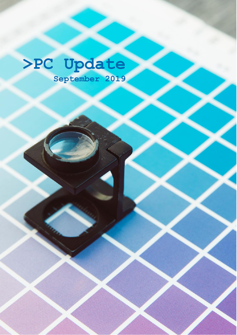# **>PC Update September 2019**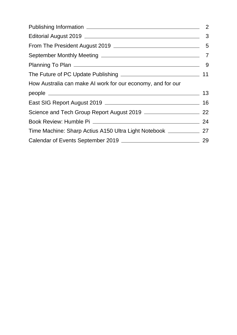| How Australia can make AI work for our economy, and for our            |  |
|------------------------------------------------------------------------|--|
|                                                                        |  |
|                                                                        |  |
|                                                                        |  |
|                                                                        |  |
| Time Machine: Sharp Actius A150 Ultra Light Notebook ______________ 27 |  |
|                                                                        |  |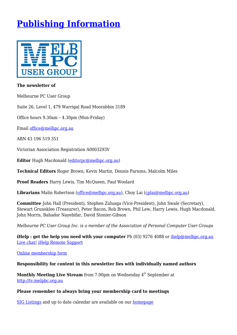## <span id="page-2-0"></span>**[Publishing Information](https://www.melbpc.org.au/masthead-11752)**



#### **The newsletter of**

Melbourne PC User Group

Suite 26, Level 1, 479 Warrigal Road Moorabbin 3189

Office hours 9.30am – 4.30pm (Mon-Friday)

Email [office@melbpc.org.au](mailto:office@melbpc.org.au)

ABN 43 196 519 351

Victorian Association Registration A0003293V

**Editor** Hugh Macdonald [\(editorpc@melbpc.org.au](mailto:editorpc@melbpc.org.au))

**Technical Editors** Roger Brown, Kevin Martin, Dennis Parsons, Malcolm Miles

**Proof Readers** Harry Lewis, Tim McQueen, Paul Woolard

**Librarians** Malin Robertson ([office@melbpc.org.au\)](mailto:office@melbpc.org.au), Choy Lai [\(cplai@melbpc.org.au\)](mailto:cplai@melbpc.org.au)

**Committee** John Hall (President), Stephen Zuluaga (Vice-President), John Swale (Secretary), Stewart Gruneklee (Treasurer), Peter Bacon, Rob Brown, Phil Lew, Harry Lewis, Hugh Macdonald, John Morris, Bahador Nayebifar, David Stonier-Gibson

*Melbourne PC User Group Inc. is a member of the Association of Personal Computer User Groups*

**iHelp : get the help you need with your computer** Ph (03) 9276 4088 or [ihelp@melbpc.org.au](mailto:ihelp@melbpc.org.au) [Live chat!](https://app.purechat.com/w/iHelpSIG) [iHelp Remote Support](https://www.melbpc.org.au/ihelp/ihelp-remote-support)

[Online membership form](https://www.melbpc.org.au/membership-online-cust-form)

#### **Responsibility for content in this newsletter lies with individually named authors**

**Monthly Meeting Live Stream** from 7.00pm on Wednesday 4<sup>th</sup> September at <http://tv.melpbc.org.au>

#### **Please remember to always bring your membership card to meetings**

[SIG Listings](https://www.melbpc.org.au/sigs/about/sig-list) and up to date calendar are available on our [homepage](http://www.melbpc.org.au/)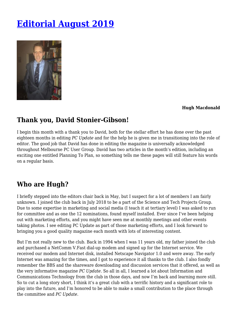## <span id="page-3-0"></span>**[Editorial August 2019](https://www.melbpc.org.au/editorial-august-2019-11791)**



#### **Hugh Macdonald**

### **Thank you, David Stonier-Gibson!**

I begin this month with a thank you to David, both for the stellar effort he has done over the past eighteen months in editing *PC Update* and for the help he is given me in transitioning into the role of editor. The good job that David has done in editing the magazine is universally acknowledged throughout Melbourne PC User Group. David has two articles in the month's edition, including an exciting one entitled Planning To Plan, so something tells me these pages will still feature his words on a regular basis.

### **Who are Hugh?**

I briefly stepped into the editors chair back in May, but I suspect for a lot of members I am fairly unknown. I joined the club back in July 2018 to be a part of the Science and Tech Projects Group. Due to some expertise in marketing and social media (I teach it at tertiary level) I was asked to run for committee and as one the 12 nominations, found myself installed. Ever since I've been helping out with marketing efforts, and you might have seen me at monthly meetings and other events taking photos. I see editing PC Update as part of those marketing efforts, and I look forward to bringing you a good quality magazine each month with lots of interesting content.

But I'm not really new to the club. Back in 1994 when I was 11 years old, my father joined the club and purchased a NetComm V.Fast dial-up modem and signed up for the Internet service. We received our modem and Internet disk, installed Netscape Navigator 1.0 and were away. The early Internet was amazing for the times, and I got to experience it all thanks to the club. I also fondly remember the BBS and the shareware downloading and discussion services that it offered, as well as the very informative magazine *PC Update*. So all in all, I learned a lot about Information and Communications Technology from the club in those days, and now I'm back and learning more still. So to cut a long story short, I think it's a great club with a terrific history and a significant role to play into the future, and I'm honored to be able to make a small contribution to the place through the committee and *PC Update*.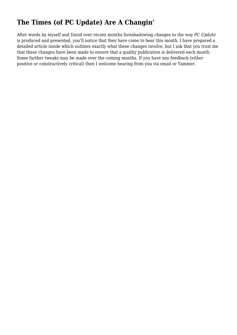### **The Times (of PC Update) Are A Changin'**

After words by myself and David over recent months foreshadowing changes to the way *PC Update* is produced and presented, you'll notice that they have come to bear this month. I have prepared a detailed article inside which outlines exactly what these changes involve, but I ask that you trust me that these changes have been made to ensure that a quality publication is delivered each month. Some further tweaks may be made over the coming months. If you have any feedback (either positive or constructively critical) then I welcome hearing from you via email or Yammer.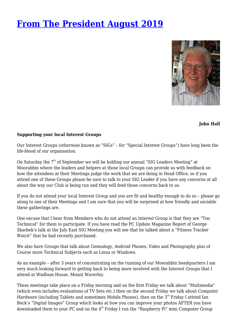### <span id="page-5-0"></span>**[From The President August 2019](https://www.melbpc.org.au/presidents-report-august-2019-11750)**



**John Hall**

#### **Supporting your local Interest Groups**

Our Interest Groups (otherwise known as "SIGs" – for "Special Interest Groups") have long been the life-blood of our organisation.

On Saturday the 7<sup>th</sup> of September we will be holding our annual "SIG Leaders Meeting" at Moorabbin where the leaders and helpers at those local Groups can provide us with feedback on how the attendees at their Meetings judge the work that we are doing in Head Office, so if you attend one of these Groups please be sure to talk to your SIG Leader if you have any concerns at all about the way our Club is being run and they will feed those concerns back to us.

If you do not attend your local Interest Group and you are fit and healthy enough to do so – please go along to one of their Meetings and I am sure that you will be surprised at how friendly and sociable these gatherings are.

One excuse that I hear from Members who do not attend an Interest Group is that they are "Too Technical" for them to participate. If you have read the PC Update Magazine Report of George Skarbek's talk at the July East SIG Meeting you will see that he talked about a "Fitness Tracker Watch" that he had recently purchased.

We also have Groups that talk about Genealogy, Android Phones, Video and Photography plus of Course more Technical Subjects such as Linux or Windows.

As an example – after 3 years of concentrating on the running of our Moorabbin headquarters I am very much looking forward to getting back to being more involved with the Interest Groups that I attend at Wadham House, Mount Waverley.

These meetings take place on a Friday morning and on the first Friday we talk about "Multimedia" (which even includes evaluations of TV Sets etc.) then on the second Friday we talk about Computer Hardware (including Tablets and sometimes Mobile Phones), then on the 3<sup>rd</sup> Friday I attend Ian Bock's "Digital Images" Group which looks at how you can improve your photos AFTER you have downloaded them to your PC and on the  $4<sup>th</sup>$  Friday I run the "Raspberry Pi" mini Computer Group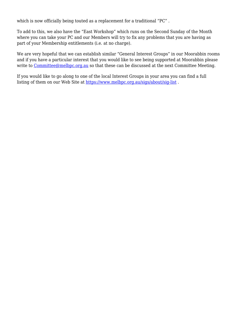which is now officially being touted as a replacement for a traditional "PC" .

To add to this, we also have the "East Workshop" which runs on the Second Sunday of the Month where you can take your PC and our Members will try to fix any problems that you are having as part of your Membership entitlements (i.e. at no charge).

We are very hopeful that we can establish similar "General Interest Groups" in our Moorabbin rooms and if you have a particular interest that you would like to see being supported at Moorabbin please write to [Committee@melbpc.org.au](mailto:Committee@melbpc.org.au) so that these can be discussed at the next Committee Meeting.

If you would like to go along to one of the local Interest Groups in your area you can find a full listing of them on our Web Site at <https://www.melbpc.org.au/sigs/about/sig-list> .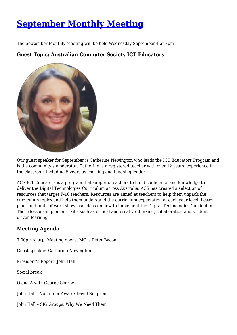## <span id="page-7-0"></span>**[September Monthly Meeting](https://www.melbpc.org.au/september-monthly-meeting-11835)**

The September Monthly Meeting will be held Wednesday September 4 at 7pm

**Guest Topic: Australian Computer Society ICT Educators**



Our guest speaker for September is Catherine Newington who leads the ICT Educators Program and is the community's moderator. Catherine is a registered teacher with over 12 years' experience in the classroom including 5 years as learning and teaching leader.

ACS ICT Educators is a program that supports teachers to build confidence and knowledge to deliver the Digital Technologies Curriculum across Australia. ACS has created a selection of resources that target F-10 teachers. Resources are aimed at teachers to help them unpack the curriculum topics and help them understand the curriculum expectation at each year level. Lesson plans and units of work showcase ideas on how to implement the Digital Technologies Curriculum. These lessons implement skills such as critical and creative thinking, collaboration and student driven learning.

### **Meeting Agenda**

7.00pm sharp: Meeting opens. MC is Peter Bacon Guest speaker: Catherine Newington President's Report: John Hall Social break Q and A with George Skarbek John Hall – Volunteer Award: David Simpson John Hall – SIG Groups: Why We Need Them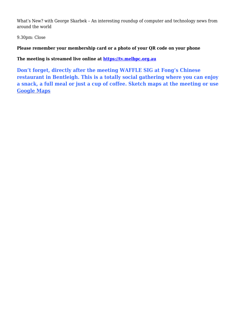What's New? with George Skarbek – An interesting roundup of computer and technology news from around the world

9.30pm: Close

**Please remember your membership card or a photo of your QR code on your phone**

**The meeting is streamed live online at<https://tv.melbpc.org.au>**

**Don't forget, directly after the meeting WAFFLE SIG at Fong's Chinese restaurant in Bentleigh. This is a totally social gathering where you can enjoy a snack, a full meal or just a cup of coffee. Sketch maps at the meeting or use [Google Maps](https://www.google.com/maps/dir/Melbourne+PC+User+Group,+suite+26%2F479+Warrigal+Rd,+Moorabbin+VIC+3189/Fong)**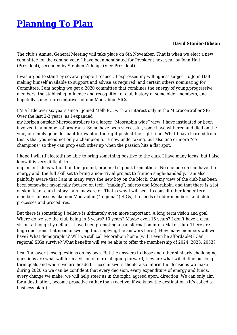## <span id="page-9-0"></span>**[Planning To Plan](https://www.melbpc.org.au/planning-to-plan-11786)**

#### **David Stonier-Gibson**

The club's Annual General Meeting will take place on 6th November. That is when we elect a new committee for the coming year. I have been nominated for President next year by John Hall (President), seconded by Stephen Zuluaga (Vice President).

I was urged to stand by several people I respect. I expressed my willingness subject to John Hall making himself available to support and advise as required, and certain others nominating for Committee. I am hoping we get a 2020 committee that combines the energy of young,progressive members, the stabilising influence and recognition of club history of some older members, and hopefully some representatives of non-Moorabbin SIGs.

It's a little over six years since I joined Melb PC, with an interest only in the Microcontroller SIG. Over the last 2-3 years, as I expanded

my horizon outside Microcontrollers to a larger "Moorabbin wide" view, I have instigated or been involved in a number of programs. Some have been successful, some have withered and died on the vine, or simply gone dormant for want of the right push at the right time. What I have learned from this is that you need not only a champion for a new undertaking, but also one or more "cochampions" so they can prop each other up when the passion hits a flat spot.

I hope I will (if elected!) be able to bring something positive to the club. I have many ideas, but I also know it is very difficult to

implement ideas without on the ground, practical support from others. No one person can have the energy and the full skill set to bring a non-trivial project to fruition single-handedly. I am also painfully aware that I am in many ways the new boy on the block, that my view of the club has been been somewhat myopically focused on tech, "making", micros and Moorabbin, and that there is a lot of significant club history I am unaware of. That is why I will seek to consult other longer term members on issues like non-Moorabbin ("regional") SIGs, the needs of older members, and club processes and procedures.

But there is something I believe is ultimately even more important: A long term vision and goal. Where do we see the club being in 5 years? 10 years? Maybe even 15 years? I don't have a clear vision, although by default I have been promoting a transformation into a Maker club. There are huge questions that need answering (not implying the answers here!): How many members will we have? What demographic? Will we still call Moorabbin home (will it even be affordable)? Can regional SIGs survive? What benefits will we be able to offer the membership of 2024, 2028, 2033?

I can't answer those questions on my own. But the answers to those and other similarly challenging questions are what will form a vision of our club going forward, they are what will define our long term goals and where we are headed. Those answers should also inform the decisions we make during 2020 so we can be confident that every decision, every expenditure of energy and funds, every change we make, we will help steer us in the right, agreed upon, direction. We can only aim for a destination, become proactive rather than reactive, if we know the destination. (It's called a business plan!).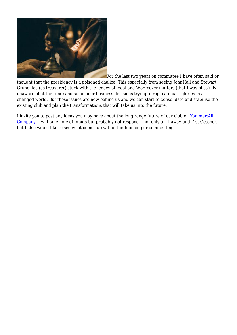

For the last two years on committee I have often said or thought that the presidency is a poisoned chalice. This especially from seeing JohnHall and Stewart Gruneklee (as treasurer) stuck with the legacy of legal and Workcover matters (that I was blissfully unaware of at the time) and some poor business decisions trying to replicate past glories in a changed world. But those issues are now behind us and we can start to consolidate and stabilise the existing club and plan the transformations that will take us into the future.

I invite you to post any ideas you may have about the long range future of our club on [Yammer:All](https://www.yammer.com/melbpc.org.au/#/threads/company) [Company.](https://www.yammer.com/melbpc.org.au/#/threads/company) I will take note of inputs but probably not respond – not only am I away until 1st October, but I also would like to see what comes up without influencing or commenting.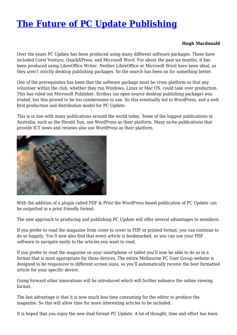## <span id="page-11-0"></span>**[The Future of PC Update Publishing](https://www.melbpc.org.au/the-future-of-pc-update-publishing-11815)**

#### **Hugh Macdonald**

Over the years PC Update has been produced using many different software packages. These have included Corel Ventura, QuarkXPress, and Microsoft Word. For about the past six months, it has been produced using LibreOffice Writer. Neither LibreOffice or Microsoft Word have been ideal, as they aren't strictly desktop publishing packages. So the search has been on for something better.

One of the prerequisites has been that the software package must be cross platform so that any volunteer within the club, whether they run Windows, Linux or Mac OS, could take over production. This has ruled out Microsoft Publisher. Scribus (an open source desktop publishing package) was trialed, but this proved to be too cumbersome to use. So this eventually led to WordPress, and a web first production and distribution model for PC Update.

This is in line with many publications around the world today. Some of the biggest publications in Australia, such as the Herald Sun, use WordPress as their platform. Many niche publications that provide ICT news and reviews also use WordPress as their platform.



With the addition of a plugin called PDF & Print the WordPress based publication of PC Update can be outputted in a print friendly format.

The new approach to producing and publishing PC Update will offer several advantages to members:

If you prefer to read the magazine from cover to cover in PDF or printed format, you can continue to do so happily. You'll now also find that every article is bookmarked, so you can use your PDF software to navigate easily to the articles you want to read.

If you prefer to read the magazine on your smartphone or tablet you'll now be able to do so in a format that is most appropriate for these devices. The entire Melbourne PC User Group website is designed to be responsive to different screen sizes, so you'll automatically receive the best formatted article for your specific device.

Going forward other innovations will be introduced which will further enhance the online viewing format.

The last advantage is that it is now much less time consuming for the editor to produce the magazine. So this will allow time for more interesting articles to be included.

It is hoped that you enjoy the new dual format PC Update. A lot of thought, time and effort has been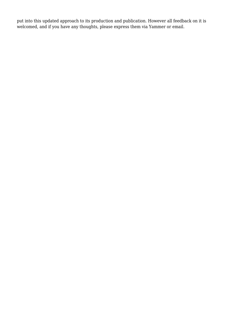put into this updated approach to its production and publication. However all feedback on it is welcomed, and if you have any thoughts, please express them via Yammer or email.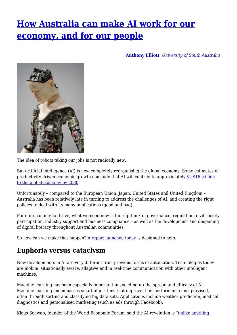## <span id="page-13-0"></span>**[How Australia can make AI work for our](https://www.melbpc.org.au/how-australia-can-make-ai-work-for-our-economy-and-for-our-people-11825) [economy, and for our people](https://www.melbpc.org.au/how-australia-can-make-ai-work-for-our-economy-and-for-our-people-11825)**

**[Anthony Elliott](https://theconversation.com/profiles/anthony-elliott-92578)**, *[University of South Australia](http://theconversation.com/institutions/university-of-south-australia-1180)*



The idea of robots taking our jobs is not radically new.

But artificial intelligence (AI) is now completely reorganising the global economy. Some estimates of productivity-driven economic growth conclude that AI will contribute approximately [\\$US16 trillion](https://www.weforum.org/agenda/2017/06/the-global-economy-will-be-14-bigger-in-2030-because-of-ai/) [to the global economy by 2030.](https://www.weforum.org/agenda/2017/06/the-global-economy-will-be-14-bigger-in-2030-because-of-ai/)

Unfortunately – compared to the European Union, Japan, United States and United Kingdom – Australia has been relatively late in turning to address the challenges of AI, and creating the right policies to deal with its many implications (good and bad).

For our economy to thrive, what we need now is the right mix of governance, regulation, civil society participation, industry support and business compliance – as well as the development and deepening of digital literacy throughout Australian communities.

So how can we make that happen? A [report launched today](https://acola.org.au/wp/artificial-intelligence/) is designed to help.

### **Euphoria versus cataclysm**

New developments in AI are very different from previous forms of automation. Technologies today are mobile, situationally aware, adaptive and in real-time communication with other intelligent machines.

Machine learning has been especially important in speeding up the spread and efficacy of AI. Machine learning encompasses smart algorithms that improve their performance unsupervised, often through sorting and classifying big data sets. Applications include weather prediction, medical diagnostics and personalised marketing (such as ads through Facebook).

Klaus Schwab, founder of the World Economic Forum, said the AI revolution is ["unlike anything](https://www.penguinrandomhouse.com/books/598250/shaping-the-future-of-the-fourth-industrial-revolution-by-klaus-schwab-founder-and-executive-chairman-world-economic-forum-with-nicholas-davis/9781984822611/)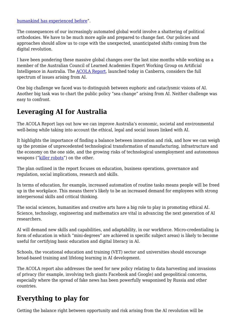[humankind has experienced before](https://www.penguinrandomhouse.com/books/598250/shaping-the-future-of-the-fourth-industrial-revolution-by-klaus-schwab-founder-and-executive-chairman-world-economic-forum-with-nicholas-davis/9781984822611/)".

The consequences of our increasingly automated global world involve a shattering of political orthodoxies. We have to be much more agile and prepared to change fast. Our policies and approaches should allow us to cope with the unexpected, unanticipated shifts coming from the digital revolution.

I have been pondering these massive global changes over the last nine months while working as a member of the Australian Council of Learned Academies Expert Working Group on Artificial Intelligence in Australia. The [ACOLA Report,](https://acola.org.au/wp/artificial-intelligence/) launched today in Canberra, considers the full spectrum of issues arising from AI.

One big challenge we faced was to distinguish between euphoric and cataclysmic visions of AI. Another big task was to chart the public policy "sea change" arising from AI. Neither challenge was easy to confront.

### **Leveraging AI for Australia**

The ACOLA Report lays out how we can improve Australia's economic, societal and environmental well-being while taking into account the ethical, legal and social issues linked with AI.

It highlights the importance of finding a balance between innovation and risk, and how we can weigh up the promise of unprecedented technological transformation of manufacturing, infrastructure and the economy on the one side, and the growing risks of technological unemployment and autonomous weapons ("[killer robots"](https://theconversation.com/why-its-so-hard-to-reach-an-international-agreement-on-killer-robots-102637)) on the other.

The plan outlined in the report focuses on education, business operations, governance and regulation, social implications, research and skills.

In terms of education, for example, increased automation of routine tasks means people will be freed up in the workplace. This means there's likely to be an increased demand for employees with strong interpersonal skills and critical thinking.

The social sciences, humanities and creative arts have a big role to play in promoting ethical AI. Science, technology, engineering and mathematics are vital in advancing the next generation of AI researchers.

AI will demand new skills and capabilities, and adaptability, in our workforce. Micro-credentialing (a form of education in which "mini-degrees" are achieved in specific subject areas) is likely to become useful for certifying basic education and digital literacy in AI.

Schools, the vocational education and training (VET) sector and universities should encourage broad-based training and lifelong learning in AI development.

The ACOLA report also addresses the need for new policy relating to data harvesting and invasions of privacy (for example, involving tech giants Facebook and Google) and geopolitical concerns, especially where the spread of fake news has been powerfully weaponised by Russia and other countries.

### **Everything to play for**

Getting the balance right between opportunity and risk arising from the AI revolution will be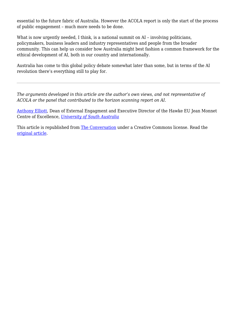essential to the future fabric of Australia. However the ACOLA report is only the start of the process of public engagement – much more needs to be done.

What is now urgently needed, I think, is a national summit on AI – involving politicians, policymakers, business leaders and industry representatives and people from the broader community. This can help us consider how Australia might best fashion a common framework for the ethical development of AI, both in our country and internationally.

Australia has come to this global policy debate somewhat later than some, but in terms of the AI revolution there's everything still to play for.

*The arguments developed in this article are the author's own views, and not representative of ACOLA or the panel that contributed to the horizon scanning report on AI.*

[Anthony Elliott](https://theconversation.com/profiles/anthony-elliott-92578), Dean of External Engagment and Executive Director of the Hawke EU Jean Monnet Centre of Excellence, *[University of South Australia](http://theconversation.com/institutions/university-of-south-australia-1180)*

This article is republished from [The Conversation](http://theconversation.com) under a Creative Commons license. Read the [original article.](https://theconversation.com/how-australia-can-make-ai-work-for-our-economy-and-for-our-people-113744)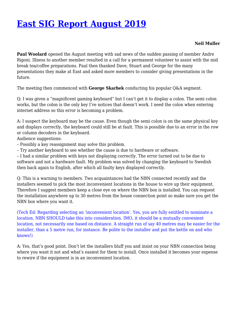### <span id="page-16-0"></span>**[East SIG Report August 2019](https://www.melbpc.org.au/east-sig-report-august-2019-11754)**

#### **Neil Muller**

**Paul Woolard** opened the August meeting with sad news of the sudden passing of member Andre Rigoni. Illness to another member resulted in a call for a permanent volunteer to assist with the mid break tea/coffee preparations. Paul then thanked Dave, Stuart and George for the many presentations they make at East and asked more members to consider giving presentations in the future.

The meeting then commenced with **George Skarbek** conducting his popular Q&A segment.

Q: I was given a "magnificent gaming keyboard" but I can't get it to display a colon. The semi colon works, but the colon is the only key I've notices that doesn't work. I need the colon when entering internet address so this error is becoming a problem.

A: I suspect the keyboard may be the cause. Even though the semi colon is on the same physical key and displays correctly, the keyboard could still be at fault. This is possible due to an error in the row or column decoders in the keyboard.

Audience suggestions:

– Possibly a key reassignment may solve this problem.

– Try another keyboard to see whether the cause is due to hardware or software.

– I had a similar problem with keys not displaying correctly. The error turned out to be due to software and not a hardware fault. My problem was solved by changing the keyboard to Swedish then back again to English, after which all faulty keys displayed correctly.

Q: This is a warning to members. Two acquaintances had the NBN connected recently and the installers seemed to pick the most inconvenient locations in the house to wire up their equipment. Therefore I suggest members keep a close eye on where the NBN box is installed. You can request the installation anywhere up to 30 metres from the house connection point so make sure you get the NBN box where you want it.

(Tech Ed: Regarding selecting an 'inconvenient location'. Yes, you are fully entitled to nominate a location. NBN SHOULD take this into consideration. IMO, it should be a mutually convenient location, not necessarily one based on distance. A straight run of say 40 metres may be easier for the installer, than a 5 metre run, for instance. Be polite to the installer and put the kettle on and who knows!)

A: Yes, that's good point. Don't let the installers bluff you and insist on your NBN connection being where you want it not and what's easiest for them to install. Once installed it becomes your expense to rewire if the equipment is in an inconvenient location.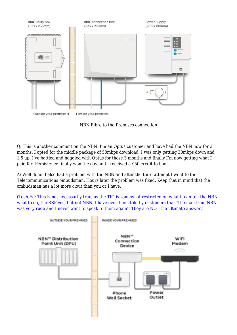

NBN Fibre to the Premises connection

Q: This is another comment on the NBN. I'm an Optus customer and have had the NBN now for 3 months. I opted for the middle package of 50mbps download. I was only getting 30mbps down and 1.5 up. I've battled and haggled with Optus for those 3 months and finally I'm now getting what I paid for. Persistence finally won the day and I received a \$50 credit to boot.

A: Well done. I also had a problem with the NBN and after the third attempt I went to the Telecommunications ombudsman. Hours later the problem was fixed. Keep that in mind that the ombudsman has a lot more clout than you or I have.

(Tech Ed: This is not necessarily true, as the TIO is somewhat restricted on what it can tell the NBN what to do, the RSP yes, but not NBN. I have even been told by customers that 'The man from NBN was very rude and I never want to speak to them again'! They are NOT the ultimate answer.)

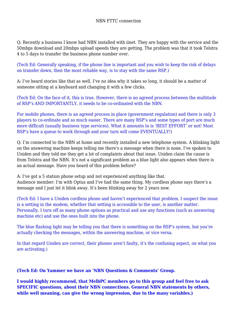Q: Recently a business I know had NBN installed with iinet. They are happy with the service and the 50mbps download and 20mbps upload speeds they are getting. The problem was that it took Telstra 4 to 5 days to transfer the business phone number over.

(Tech Ed: Generally speaking, if the phone line is important and you wish to keep the risk of delays on transfer down, then the most reliable way, is to stay with the same RSP.)

A: I've heard stories like that as well. I've no idea why it takes so long, it should be a matter of someone sitting at a keyboard and changing it with a few clicks.

(Tech Ed: On the face of it, this is true. However, there is no agreed process between the multitude of RSP's AND IMPORTANTLY, it needs to be co-ordinated with the NBN.

For mobile phones, there is an agreed process in place (government regulation) and there is only 3 players to co-ordinate and so much easier. There are many RSP's and some types of port are much more difficult (usually business type services). What it amounts to is 'BEST EFFORT' or not! Most RSP's have a queue to work through and your turn will come EVENTUALLY!)

Q: I'm connected to the NBN at home and recently installed a new telephone system. A blinking light on the answering machine keeps telling me there's a message when there is none. I've spoken to Uniden and they told me they get a lot of complaints about that issue. Uniden claim the cause is from Telstra and the NBN. It's not a significant problem as a blue light also appears when there is an actual message. Have you heard of this problem before?

A: I've got a 5 station phone setup and not experienced anything like that. Audience member: I'm with Optus and I've had the same thing. My cordless phone says there's a message and I just let it blink away. It's been blinking away for 2 years now.

(Tech Ed: I have a Uniden cordless phone and haven't experienced that problem. I suspect the issue is a setting in the modem, whether that setting is accessible to the user, is another matter. Personally, I turn off as many phone options as practical and use any functions (such as answering machine etc) and use the ones built into the phone.

The blue flashing light may be telling you that there is something on the RSP's system, but you're actually checking the messages, within the answering machine, or vice versa.

In that regard Uniden are correct, their phones aren't faulty, it's the confusing aspect, on what you are activating.)

**(Tech Ed: On Yammer we have an 'NBN Questions & Comments' Group.**

**I would highly recommend, that MelbPC members go to this group and feel free to ask SPECIFIC questions, about their NBN connections. General NBN statements by others, while well meaning, can give the wrong impression, due to the many variables.)**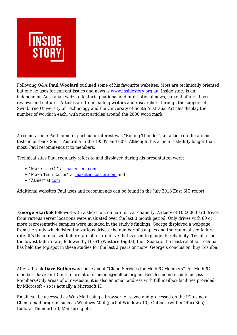

Following Q&A **Paul Woolard** outlined some of his favourite websites. Most are technically oriented but one he uses for current issues and news is [www.insidestory.org.au](http://www.insidestory.org.au). Inside story is an independent Australian website featuring national and international news, current affairs, book reviews and culture. Articles are from leading writers and researchers through the support of Swinburne University of Technology and the University of South Australia. Articles display the number of words in each, with most articles around the 2000 word mark.

A recent article Paul found of particular interest was "Rolling Thunder", an article on the atomic tests in outback South Australia in the 1950's and 60's. Although this article is slightly longer than most, Paul recommends it to members.

Technical sites Paul regularly refers to and displayed during his presentation were:

- "Make Use Of" at [makeuseof.com](https://www.melbpc.org.au/www.makeuseof.com%20)
- "Make Tech Easier" at [maketecheasier.com](http://www.maketecheasier.com) and
- "ZDnet" at [com](https://www.melbpc.org.au/ZDnet.com)

Additional websites Paul uses and recommends can be found in the July 2018 East SIG report.

**George Skarbek** followed with a short talk on hard drive reliability. A study of 108,000 hard drives from various server locations were evaluated over the last 3 month period. Only drives with 60 or more representative samples were included in the study's findings. George displayed a webpage from the study which listed the various drives, the number of samples and their annualised failure rate. It's the annualised failure rate of a hard drive that is used to gauge its reliability. Toshiba had the lowest failure rate, followed by HGST (Western Digital) then Seagate the least reliable. Toshiba has held the top spot in these studies for the last 2 years or more. George's conclusion, buy Toshiba.

After a break **Dave Botherway** spoke about "Cloud Services for MelbPC Members". All MelbPC members have an ID in the format of usename@melbpc.org.au. Besides being used to access Members-Only areas of our website, it is also an email address with full mailbox facilities provided by Microsoft – so is actually a Microsoft ID.

Email can be accessed as Web Mail using a browser, or saved and processed on the PC using a Client email program such as Windows Mail (part of Windows 10), Outlook (within Office365), Eudora, Thunderbird, Mailspring etc.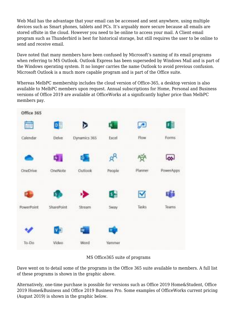Web Mail has the advantage that your email can be accessed and sent anywhere, using multiple devices such as Smart phones, tablets and PCs. It's arguably more secure because all emails are stored offsite in the cloud. However you need to be online to access your mail. A Client email program such as Thunderbird is best for historical storage, but still requires the user to be online to send and receive email.

Dave noted that many members have been confused by Microsoft's naming of its email programs when referring to MS Outlook. Outlook Express has been superseded by Windows Mail and is part of the Windows operating system. It no longer carries the name Outlook to avoid previous confusion. Microsoft Outlook is a much more capable program and is part of the Office suite.

Whereas MelbPC membership includes the cloud version of Office-365, a desktop version is also available to MelbPC members upon request. Annual subscriptions for Home, Personal and Business versions of Office 2019 are available at OfficeWorks at a significantly higher price than MelbPC members pay.



#### MS Office365 suite of programs

Dave went on to detail some of the programs in the Office 365 suite available to members. A full list of these programs is shown in the graphic above.

Alternatively, one-time purchase is possible for versions such as Office 2019 Home&Student, Office 2019 Home&Business and Office 2019 Business Pro. Some examples of OfficeWorks current pricing (August 2019) is shown in the graphic below.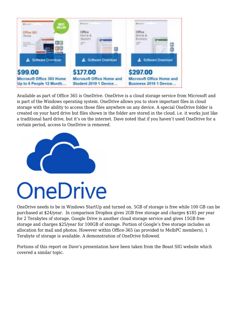

Available as part of Office 365 is OneDrive. OneDrive is a cloud storage service from Microsoft and is part of the Windows operating system. OneDrive allows you to store important files in cloud storage with the ability to access those files anywhere on any device. A special OneDrive folder is created on your hard drive but files shown in the folder are stored in the cloud. i.e. it works just like a traditional hard drive, but it's on the internet. Dave noted that if you haven't used OneDrive for a certain period, access to OneDrive is removed.



OneDrive needs to be in Windows StartUp and turned on. 5GB of storage is free while 100 GB can be purchased at \$24/year. In comparison Dropbox gives 2GB free storage and charges \$185 per year for 2 Terabytes of storage. Google Drive is another cloud storage service and gives 15GB free storage and charges \$25/year for 100GB of storage. Portion of Google's free storage includes an allocation for mail and photos. However within Office-365 (as provided to MelbPC members), 1 Terabyte of storage is available. A demonstration of OneDrive followed.

Portions of this report on Dave's presentation have been taken from the Beast SIG website which covered a similar topic.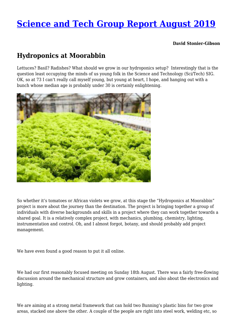### <span id="page-22-0"></span>**[Science and Tech Group Report August 2019](https://www.melbpc.org.au/science-and-tech-group-report-august-2019-11782)**

**David Stonier-Gibson**

### **Hydroponics at Moorabbin**

Lettuces? Basil? Radishes? What should we grow in our hydroponics setup? Interestingly that is the question least occupying the minds of us young folk in the Science and Technology (Sci/Tech) SIG. OK, so at 73 I can't really call myself young, but young at heart, I hope, and hanging out with a bunch whose median age is probably under 30 is certainly enlightening.



So whether it's tomatoes or African violets we grow, at this stage the "Hydroponics at Moorabbin" project is more about the journey than the destination. The project is bringing together a group of individuals with diverse backgrounds and skills in a project where they can work together towards a shared goal. It is a relatively complex project, with mechanics, plumbing, chemistry, lighting, instrumentation and control. Oh, and I almost forgot, botany, and should probably add project management.

We have even found a good reason to put it all online.

We had our first reasonably focused meeting on Sunday 18th August. There was a fairly free-flowing discussion around the mechanical structure and grow containers, and also about the electronics and lighting.

We are aiming at a strong metal framework that can hold two Bunning's plastic bins for two grow areas, stacked one above the other. A couple of the people are right into steel work, welding etc, so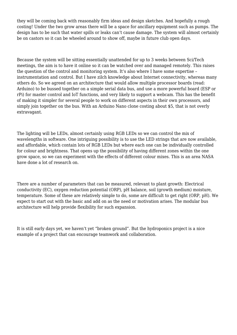they will be coming back with reasonably firm ideas and design sketches. And hopefully a rough costing! Under the two grow areas there will be a space for ancillary equipment such as pumps. The design has to be such that water spills or leaks can't cause damage. The system will almost certainly be on castors so it can be wheeled around to show off, maybe in future club open days.

Because the system will be sitting essentially unattended for up to 3 weeks between Sci/Tech meetings, the aim is to have it online so it can be watched over and managed remotely. This raises the question of the control and monitoring system. It's also where I have some expertise – instrumentation and control. But I have zilch knowledge about Internet connectivity, whereas many others do. So we agreed on an architecture that would allow multiple processor boards (read: Arduino) to be bussed together on a simple serial data bus, and use a more powerful board (ESP or rPi) for master control and IoT functions, and very likely to support a webcam. This has the benefit of making it simpler for several people to work on different aspects in their own processors, and simply join together on the bus. With an Arduino Nano clone costing about \$5, that is not overly extravagant.

The lighting will be LEDs, almost certainly using RGB LEDs so we can control the mix of wavelengths in software. One intriguing possibility is to use the LED strings that are now available, and affordable, which contain lots of RGB LEDs but where each one can be individually controlled for colour and brightness. That opens up the possibility of having different zones within the one grow space, so we can experiment with the effects of different colour mixes. This is an area NASA have done a lot of research on.

There are a number of parameters that can be measured, relevant to plant growth: Electrical conductivity (EC), oxygen reduction potential (ORP), pH balance, soil (growth medium) moisture, temperature. Some of these are relatively simple to do, some are difficult to get right (ORP, pH). We expect to start out with the basic and add on as the need or motivation arises. The modular bus architecture will help provide flexibility for such expansion.

It is still early days yet, we haven't yet "broken ground". But the hydroponics project is a nice example of a project that can encourage teamwork and collaboration.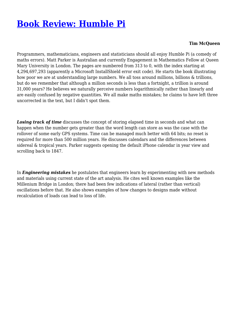### <span id="page-24-0"></span>**[Book Review: Humble Pi](https://www.melbpc.org.au/book-review-humble-pi-11798)**

#### **Tim McQueen**

Programmers, mathematicians, engineers and statisticians should all enjoy Humble Pi (a comedy of maths errors). Matt Parker is Australian and currently Engagement in Mathematics Fellow at Queen Mary University in London. The pages are numbered from 313 to 0, with the index starting at 4,294,697,293 (apparently a Microsoft InstallShield error exit code). He starts the book illustrating how poor we are at understanding large numbers. We all toss around millions, billions & trillions, but do we remember that although a million seconds is less than a fortnight, a trillion is around 31,000 years? He believes we naturally perceive numbers logarithmically rather than linearly and are easily confused by negative quantities. We all make maths mistakes; he claims to have left three uncorrected in the text, but I didn't spot them.

**Losing track of time** discusses the concept of storing elapsed time in seconds and what can happen when the number gets greater than the word length can store as was the case with the rollover of some early GPS systems. Time can be managed much better with 64 bits; no reset is required for more than 500 million years. He discusses calendars and the differences between sidereal & tropical years. Parker suggests opening the default iPhone calendar in year view and scrolling back to 1847.

In *Engineering mistakes* he postulates that engineers learn by experimenting with new methods and materials using current state of the art analysis. He cites well known examples like the Millenium Bridge in London; there had been few indications of lateral (rather than vertical) oscillations before that. He also shows examples of how changes to designs made without recalculation of loads can lead to loss of life.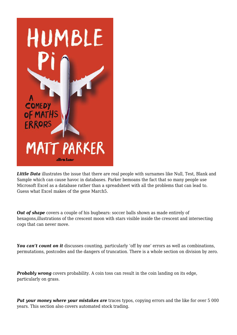

*Little Data* illustrates the issue that there are real people with surnames like Null, Test, Blank and Sample which can cause havoc in databases. Parker bemoans the fact that so many people use Microsoft Excel as a database rather than a spreadsheet with all the problems that can lead to. Guess what Excel makes of the gene March5.

*Out of shape* covers a couple of his bugbears: soccer balls shown as made entirely of hexagons,illustrations of the crescent moon with stars visible inside the crescent and intersecting cogs that can never move.

You can't count on it discusses counting, particularly 'off by one' errors as well as combinations, permutations, postcodes and the dangers of truncation. There is a whole section on division by zero.

**Probably wrong** covers probability. A coin toss can result in the coin landing on its edge, particularly on grass.

**Put your money where your mistakes are** traces typos, copying errors and the like for over 5 000 years. This section also covers automated stock trading.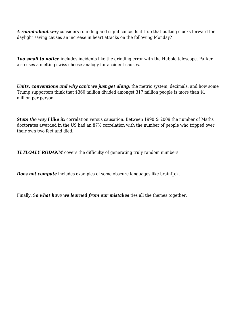*A round-about way* considers rounding and significance. Is it true that putting clocks forward for daylight saving causes an increase in heart attacks on the following Monday?

*Too small to notice* includes incidents like the grinding error with the Hubble telescope. Parker also uses a melting swiss cheese analogy for accident causes.

*Units, conventions and why can't we just get along;* the metric system, decimals, and how some Trump supporters think that \$360 million divided amongst 317 million people is more than \$1 million per person.

*Stats the way I like it*; correlation versus causation. Between 1990 & 2009 the number of Maths doctorates awarded in the US had an 87% correlation with the number of people who tripped over their own two feet and died.

*TLTLOALY RODANM* covers the difficulty of generating truly random numbers.

*Does not compute* includes examples of some obscure languages like brainf ck.

Finally, S*o what have we learned from our mistakes* ties all the themes together.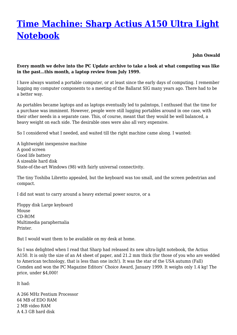## <span id="page-27-0"></span>**[Time Machine: Sharp Actius A150 Ultra Light](https://www.melbpc.org.au/time-machine-sharp-actius-a150-ultra-light-notebook-11772) [Notebook](https://www.melbpc.org.au/time-machine-sharp-actius-a150-ultra-light-notebook-11772)**

**John Oswald**

#### **Every month we delve into the PC Update archive to take a look at what computing was like in the past…this month, a laptop review from July 1999.**

I have always wanted a portable computer, or at least since the early days of computing. I remember lugging my computer components to a meeting of the Ballarat SIG many years ago. There had to be a better way.

As portables became laptops and as laptops eventually led to palmtops, I enthused that the time for a purchase was imminent. However, people were still lugging portables around in one case, with their other needs in a separate case. This, of course, meant that they would be well balanced, a heavy weight on each side. The desirable ones were also all very expensive.

So I considered what I needed, and waited till the right machine came along. I wanted:

A lightweight inexpensive machine A good screen Good life battery A sizeable hard disk State-of-the-art Windows (98) with fairly universal connectivity.

The tiny Toshiba Libretto appealed, but the keyboard was too small, and the screen pedestrian and compact.

I did not want to carry around a heavy external power source, or a

Floppy disk Large keyboard Mouse CD-ROM Multimedia paraphernalia Printer.

But I would want them to be available on my desk at home.

So I was delighted when I read that Sharp had released its new ultra-light notebook, the Actius A150. It is only the size of an A4 sheet of paper, and 21.2 mm thick (for those of you who are wedded to American technology, that is less than one inch!). It was the star of the USA autumn (Fall) Comdex and won the PC Magazine Editors' Choice Award, January 1999. It weighs only 1.4 kg! The price, under \$4,000!

It had:

A 266 MHz Pentium Processor 64 MB of EDO RAM 2 MB video RAM A 4.3 GB hard disk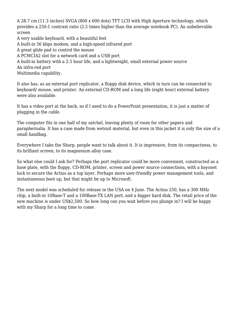A 28.7 cm (11.3 inches) SVGA (800 x 600 dots) TFT LCD with High Aperture technology, which provides a 250:1 contrast ratio (2.5 times higher than the average notebook PC). An unbelievable screen

A very usable keyboard, with a beautiful feel A built-in 56 kbps modem, and a high-speed infrared port A great glide pad to control the mouse A PCMCIA2 slot for a network card and a USB port A built-in battery with a 2.5 hour life, and a lightweight, small external power source An infra-red port Multimedia capability.

It also has, as an external port replicator, a floppy disk device, which in turn can be connected to keyboard/ mouse, and printer. An external CD-ROM and a long life (eight hour) external battery were also available.

It has a video port at the back, so if I need to do a PowerPoint presentation, it is just a matter of plugging in the cable.

The computer fits in one half of my satchel, leaving plenty of room for other papers and paraphernalia. It has a case made from wetsuit material, but even in this jacket it is only the size of a small handbag.

Everywhere I take the Sharp, people want to talk about it. It is impressive, from its compactness, to its brilliant screen, to its magnesium alloy case.

So what else could I ask for? Perhaps the port replicator could be more convenient, constructed as a base plate, with the floppy, CD-ROM, printer, screen and power source connections, with a bayonet lock to secure the Actius as a top layer. Perhaps more user-friendly power management tools, and instantaneous boot up, but that might be up to Microsoft.

The next model was scheduled for release in the USA on 4 June. The Actius 250, has a 300 MHz chip, a built-in 10Base-T and a 100Base-TX LAN port, and a bigger hard disk. The retail price of the new machine is under US\$2,500. So how long can you wait before you plunge in? I will be happy with my Sharp for a long time to come.